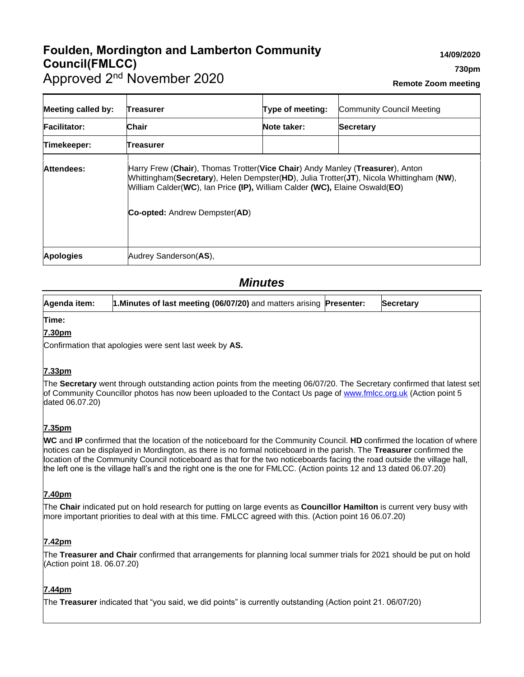# **Foulden, Mordington and Lamberton Community Council(FMLCC)** Approved 2<sup>nd</sup> November 2020

**Remote Zoom meeting**

| <b>Meeting called by:</b> | Treasurer                            | Type of meeting:                                                                                                                                                                                                                                       | Community Council Meeting |  |
|---------------------------|--------------------------------------|--------------------------------------------------------------------------------------------------------------------------------------------------------------------------------------------------------------------------------------------------------|---------------------------|--|
| <b>Facilitator:</b>       | <b>Chair</b>                         | Note taker:                                                                                                                                                                                                                                            | <b>Secretary</b>          |  |
| Timekeeper:               | Treasurer                            |                                                                                                                                                                                                                                                        |                           |  |
| Attendees:                | <b>Co-opted:</b> Andrew Dempster(AD) | Harry Frew (Chair), Thomas Trotter(Vice Chair) Andy Manley (Treasurer), Anton<br>Whittingham(Secretary), Helen Dempster(HD), Julia Trotter(JT), Nicola Whittingham (NW),<br>William Calder(WC), Ian Price (IP), William Calder (WC), Elaine Oswald(EO) |                           |  |
| <b>Apologies</b>          | Audrey Sanderson(AS),                |                                                                                                                                                                                                                                                        |                           |  |

# *Minutes*

| Agenda item:                                                                                                                                                                                                                                                                                                                                                                                                                                                                                      | 1. Minutes of last meeting (06/07/20) and matters arising Presenter:                                                                                                                                                                       |  | <b>Secretary</b> |
|---------------------------------------------------------------------------------------------------------------------------------------------------------------------------------------------------------------------------------------------------------------------------------------------------------------------------------------------------------------------------------------------------------------------------------------------------------------------------------------------------|--------------------------------------------------------------------------------------------------------------------------------------------------------------------------------------------------------------------------------------------|--|------------------|
| Time:                                                                                                                                                                                                                                                                                                                                                                                                                                                                                             |                                                                                                                                                                                                                                            |  |                  |
| 7.30pm                                                                                                                                                                                                                                                                                                                                                                                                                                                                                            |                                                                                                                                                                                                                                            |  |                  |
|                                                                                                                                                                                                                                                                                                                                                                                                                                                                                                   | Confirmation that apologies were sent last week by AS.                                                                                                                                                                                     |  |                  |
| 7.33pm                                                                                                                                                                                                                                                                                                                                                                                                                                                                                            |                                                                                                                                                                                                                                            |  |                  |
| dated 06.07.20)                                                                                                                                                                                                                                                                                                                                                                                                                                                                                   | The Secretary went through outstanding action points from the meeting 06/07/20. The Secretary confirmed that latest set<br>of Community Councillor photos has now been uploaded to the Contact Us page of www.fmlcc.org.uk (Action point 5 |  |                  |
| 7.35pm                                                                                                                                                                                                                                                                                                                                                                                                                                                                                            |                                                                                                                                                                                                                                            |  |                  |
| WC and IP confirmed that the location of the noticeboard for the Community Council. HD confirmed the location of where<br>notices can be displayed in Mordington, as there is no formal noticeboard in the parish. The Treasurer confirmed the<br>location of the Community Council noticeboard as that for the two noticeboards facing the road outside the village hall,<br>the left one is the village hall's and the right one is the one for FMLCC. (Action points 12 and 13 dated 06.07.20) |                                                                                                                                                                                                                                            |  |                  |
| 7.40pm                                                                                                                                                                                                                                                                                                                                                                                                                                                                                            |                                                                                                                                                                                                                                            |  |                  |
|                                                                                                                                                                                                                                                                                                                                                                                                                                                                                                   | The Chair indicated put on hold research for putting on large events as Councillor Hamilton is current very busy with<br>more important priorities to deal with at this time. FMLCC agreed with this. (Action point 16 06.07.20)           |  |                  |
| <u>7.42pm</u>                                                                                                                                                                                                                                                                                                                                                                                                                                                                                     |                                                                                                                                                                                                                                            |  |                  |
| (Action point 18. 06.07.20)                                                                                                                                                                                                                                                                                                                                                                                                                                                                       | The Treasurer and Chair confirmed that arrangements for planning local summer trials for 2021 should be put on hold                                                                                                                        |  |                  |

# **7.44pm**

The **Treasurer** indicated that "you said, we did points" is currently outstanding (Action point 21. 06/07/20)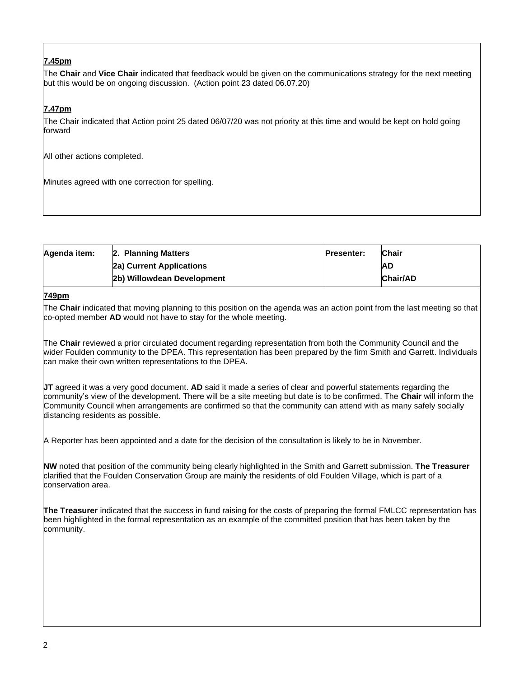# **7.45pm**

The **Chair** and **Vice Chair** indicated that feedback would be given on the communications strategy for the next meeting but this would be on ongoing discussion. (Action point 23 dated 06.07.20)

# **7.47pm**

The Chair indicated that Action point 25 dated 06/07/20 was not priority at this time and would be kept on hold going forward

All other actions completed.

Minutes agreed with one correction for spelling.

| Agenda item: | 2. Planning Matters        | <b>Presenter:</b> | <b>Chair</b> |
|--------------|----------------------------|-------------------|--------------|
|              | 2a) Current Applications   |                   | <b>AD</b>    |
|              | 2b) Willowdean Development |                   | Chair/AD     |

#### **749pm**

The **Chair** indicated that moving planning to this position on the agenda was an action point from the last meeting so that co-opted member **AD** would not have to stay for the whole meeting.

The **Chair** reviewed a prior circulated document regarding representation from both the Community Council and the wider Foulden community to the DPEA. This representation has been prepared by the firm Smith and Garrett. Individuals can make their own written representations to the DPEA.

**JT** agreed it was a very good document. **AD** said it made a series of clear and powerful statements regarding the community's view of the development. There will be a site meeting but date is to be confirmed. The **Chair** will inform the Community Council when arrangements are confirmed so that the community can attend with as many safely socially distancing residents as possible.

A Reporter has been appointed and a date for the decision of the consultation is likely to be in November.

**NW** noted that position of the community being clearly highlighted in the Smith and Garrett submission. **The Treasurer** clarified that the Foulden Conservation Group are mainly the residents of old Foulden Village, which is part of a conservation area.

**The Treasurer** indicated that the success in fund raising for the costs of preparing the formal FMLCC representation has been highlighted in the formal representation as an example of the committed position that has been taken by the community.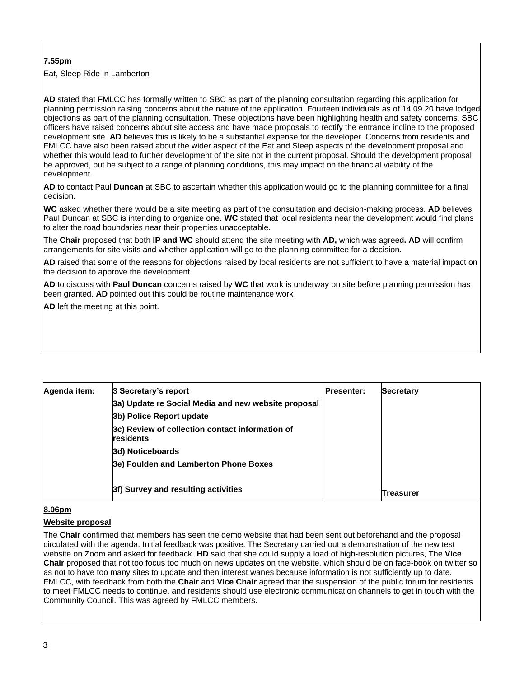# **7.55pm**

Eat, Sleep Ride in Lamberton

**AD** stated that FMLCC has formally written to SBC as part of the planning consultation regarding this application for planning permission raising concerns about the nature of the application. Fourteen individuals as of 14.09.20 have lodged objections as part of the planning consultation. These objections have been highlighting health and safety concerns. SBC officers have raised concerns about site access and have made proposals to rectify the entrance incline to the proposed development site. **AD** believes this is likely to be a substantial expense for the developer. Concerns from residents and FMLCC have also been raised about the wider aspect of the Eat and Sleep aspects of the development proposal and whether this would lead to further development of the site not in the current proposal. Should the development proposal be approved, but be subject to a range of planning conditions, this may impact on the financial viability of the development.

**AD** to contact Paul **Duncan** at SBC to ascertain whether this application would go to the planning committee for a final decision.

**WC** asked whether there would be a site meeting as part of the consultation and decision-making process. **AD** believes Paul Duncan at SBC is intending to organize one. **WC** stated that local residents near the development would find plans to alter the road boundaries near their properties unacceptable.

The **Chair** proposed that both **IP and WC** should attend the site meeting with **AD,** which was agreed**. AD** will confirm arrangements for site visits and whether application will go to the planning committee for a decision.

**AD** raised that some of the reasons for objections raised by local residents are not sufficient to have a material impact on the decision to approve the development

**AD** to discuss with **Paul Duncan** concerns raised by **WC** that work is underway on site before planning permission has been granted. **AD** pointed out this could be routine maintenance work

**AD** left the meeting at this point.

| Agenda item: | 3 Secretary's report                                         | <b>Presenter:</b> | <b>Secretary</b> |
|--------------|--------------------------------------------------------------|-------------------|------------------|
|              | 3a) Update re Social Media and new website proposal          |                   |                  |
|              | 3b) Police Report update                                     |                   |                  |
|              | 3c) Review of collection contact information of<br>residents |                   |                  |
|              | 3d) Noticeboards                                             |                   |                  |
|              | 3e) Foulden and Lamberton Phone Boxes                        |                   |                  |
|              | 3f) Survey and resulting activities                          |                   | Treasurer        |

#### **8.06pm**

## **Website proposal**

The **Chair** confirmed that members has seen the demo website that had been sent out beforehand and the proposal circulated with the agenda. Initial feedback was positive. The Secretary carried out a demonstration of the new test website on Zoom and asked for feedback. **HD** said that she could supply a load of high-resolution pictures, The **Vice Chair** proposed that not too focus too much on news updates on the website, which should be on face-book on twitter so as not to have too many sites to update and then interest wanes because information is not sufficiently up to date. FMLCC, with feedback from both the **Chair** and **Vice Chair** agreed that the suspension of the public forum for residents to meet FMLCC needs to continue, and residents should use electronic communication channels to get in touch with the Community Council. This was agreed by FMLCC members.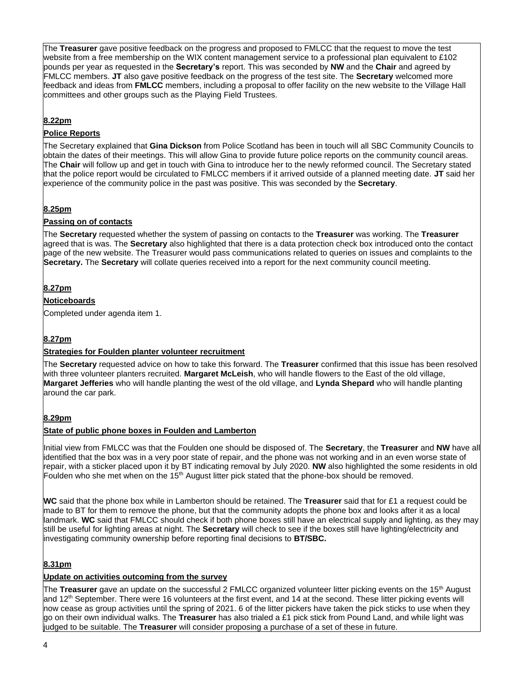The **Treasurer** gave positive feedback on the progress and proposed to FMLCC that the request to move the test website from a free membership on the WIX content management service to a professional plan equivalent to £102 pounds per year as requested in the **Secretary's** report. This was seconded by **NW** and the **Chair** and agreed by FMLCC members. **JT** also gave positive feedback on the progress of the test site. The **Secretary** welcomed more feedback and ideas from **FMLCC** members, including a proposal to offer facility on the new website to the Village Hall committees and other groups such as the Playing Field Trustees.

# **8.22pm**

#### **Police Reports**

The Secretary explained that **Gina Dickson** from Police Scotland has been in touch will all SBC Community Councils to obtain the dates of their meetings. This will allow Gina to provide future police reports on the community council areas. The **Chair** will follow up and get in touch with Gina to introduce her to the newly reformed council. The Secretary stated that the police report would be circulated to FMLCC members if it arrived outside of a planned meeting date. **JT** said her experience of the community police in the past was positive. This was seconded by the **Secretary**.

## **8.25pm**

#### **Passing on of contacts**

The **Secretary** requested whether the system of passing on contacts to the **Treasurer** was working. The **Treasurer** agreed that is was. The **Secretary** also highlighted that there is a data protection check box introduced onto the contact page of the new website. The Treasurer would pass communications related to queries on issues and complaints to the **Secretary.** The **Secretary** will collate queries received into a report for the next community council meeting.

## **8.27pm**

# **Noticeboards**

Completed under agenda item 1.

## **8.27pm**

## **Strategies for Foulden planter volunteer recruitment**

The **Secretary** requested advice on how to take this forward. The **Treasurer** confirmed that this issue has been resolved with three volunteer planters recruited. **Margaret McLeish**, who will handle flowers to the East of the old village, **Margaret Jefferies** who will handle planting the west of the old village, and **Lynda Shepard** who will handle planting around the car park.

## **8.29pm**

#### **State of public phone boxes in Foulden and Lamberton**

Initial view from FMLCC was that the Foulden one should be disposed of. The **Secretary**, the **Treasurer** and **NW** have all identified that the box was in a very poor state of repair, and the phone was not working and in an even worse state of repair, with a sticker placed upon it by BT indicating removal by July 2020. **NW** also highlighted the some residents in old Foulden who she met when on the  $15<sup>th</sup>$  August litter pick stated that the phone-box should be removed.

**WC** said that the phone box while in Lamberton should be retained. The **Treasurer** said that for £1 a request could be made to BT for them to remove the phone, but that the community adopts the phone box and looks after it as a local landmark. **WC** said that FMLCC should check if both phone boxes still have an electrical supply and lighting, as they may still be useful for lighting areas at night. The **Secretary** will check to see if the boxes still have lighting/electricity and investigating community ownership before reporting final decisions to **BT/SBC.**

## **8.31pm**

## **Update on activities outcoming from the survey**

The **Treasurer** gave an update on the successful 2 FMLCC organized volunteer litter picking events on the 15th August and 12<sup>th</sup> September. There were 16 volunteers at the first event, and 14 at the second. These litter picking events will now cease as group activities until the spring of 2021. 6 of the litter pickers have taken the pick sticks to use when they go on their own individual walks. The **Treasurer** has also trialed a £1 pick stick from Pound Land, and while light was judged to be suitable. The **Treasurer** will consider proposing a purchase of a set of these in future.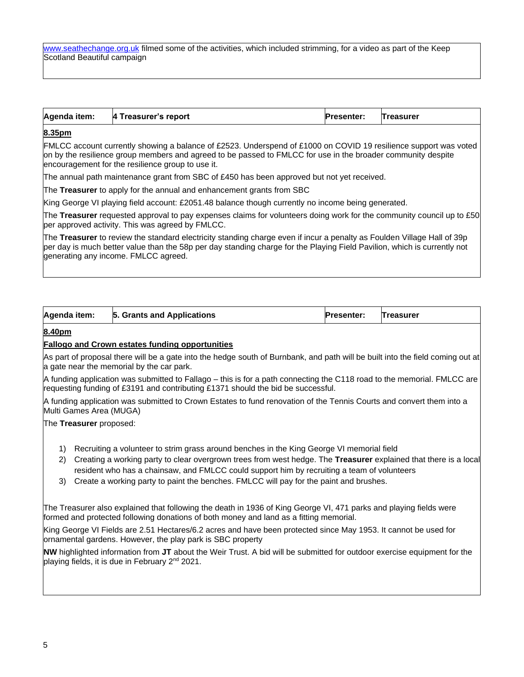[www.seathechange.org.uk](http://www.seathechange.org.uk/) filmed some of the activities, which included strimming, for a video as part of the Keep Scotland Beautiful campaign

| Agenda item:<br>4 Treasurer's report<br><b>Presenter:</b><br><b>Treasurer</b> |
|-------------------------------------------------------------------------------|
|-------------------------------------------------------------------------------|

# **8.35pm**

FMLCC account currently showing a balance of £2523. Underspend of £1000 on COVID 19 resilience support was voted on by the resilience group members and agreed to be passed to FMLCC for use in the broader community despite encouragement for the resilience group to use it.

The annual path maintenance grant from SBC of £450 has been approved but not yet received.

The **Treasurer** to apply for the annual and enhancement grants from SBC

King George VI playing field account: £2051.48 balance though currently no income being generated.

The **Treasurer** requested approval to pay expenses claims for volunteers doing work for the community council up to £50 per approved activity. This was agreed by FMLCC.

The **Treasurer** to review the standard electricity standing charge even if incur a penalty as Foulden Village Hall of 39p per day is much better value than the 58p per day standing charge for the Playing Field Pavilion, which is currently not generating any income. FMLCC agreed.

| 5. Grants and Applications<br>Agenda item:<br>Treasurer<br><b>Presenter:</b> |  |
|------------------------------------------------------------------------------|--|
|------------------------------------------------------------------------------|--|

#### **8.40pm**

#### **Fallogo and Crown estates funding opportunities**

As part of proposal there will be a gate into the hedge south of Burnbank, and path will be built into the field coming out at a gate near the memorial by the car park.

A funding application was submitted to Fallago – this is for a path connecting the C118 road to the memorial. FMLCC are requesting funding of £3191 and contributing £1371 should the bid be successful.

A funding application was submitted to Crown Estates to fund renovation of the Tennis Courts and convert them into a Multi Games Area (MUGA)

The **Treasurer** proposed:

- 1) Recruiting a volunteer to strim grass around benches in the King George VI memorial field
- 2) Creating a working party to clear overgrown trees from west hedge. The **Treasurer** explained that there is a local resident who has a chainsaw, and FMLCC could support him by recruiting a team of volunteers
- 3) Create a working party to paint the benches. FMLCC will pay for the paint and brushes.

The Treasurer also explained that following the death in 1936 of King George VI, 471 parks and playing fields were formed and protected following donations of both money and land as a fitting memorial.

King George VI Fields are 2.51 Hectares/6.2 acres and have been protected since May 1953. It cannot be used for ornamental gardens. However, the play park is SBC property

**NW** highlighted information from **JT** about the Weir Trust. A bid will be submitted for outdoor exercise equipment for the playing fields, it is due in February 2<sup>nd</sup> 2021.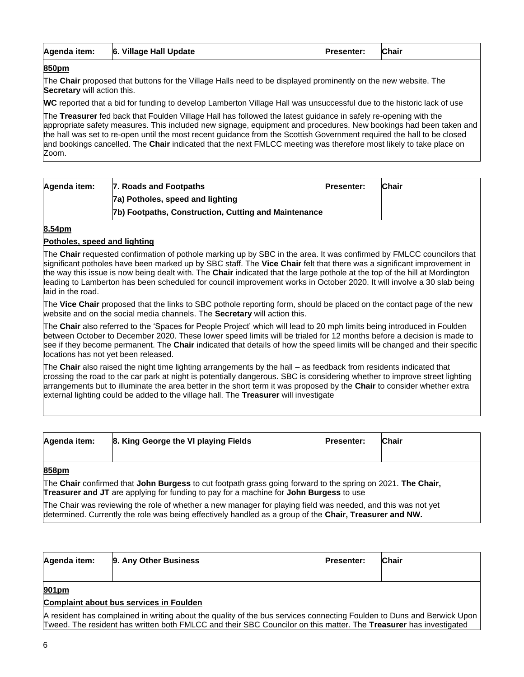| 6. Village Hall Update<br>Agenda item: | <b>Presenter:</b> | <b>Chair</b> |
|----------------------------------------|-------------------|--------------|
|----------------------------------------|-------------------|--------------|

# **850pm**

The **Chair** proposed that buttons for the Village Halls need to be displayed prominently on the new website. The **Secretary** will action this.

**WC** reported that a bid for funding to develop Lamberton Village Hall was unsuccessful due to the historic lack of use

The **Treasurer** fed back that Foulden Village Hall has followed the latest guidance in safely re-opening with the appropriate safety measures. This included new signage, equipment and procedures. New bookings had been taken and the hall was set to re-open until the most recent guidance from the Scottish Government required the hall to be closed and bookings cancelled. The **Chair** indicated that the next FMLCC meeting was therefore most likely to take place on Zoom.

| Agenda item: | 7. Roads and Footpaths                                | <b>Presenter:</b> | Chair |
|--------------|-------------------------------------------------------|-------------------|-------|
|              | 7a) Potholes, speed and lighting                      |                   |       |
|              | [7b] Footpaths, Construction, Cutting and Maintenance |                   |       |

#### **8.54pm**

#### **Potholes, speed and lighting**

The **Chair** requested confirmation of pothole marking up by SBC in the area. It was confirmed by FMLCC councilors that significant potholes have been marked up by SBC staff. The **Vice Chair** felt that there was a significant improvement in the way this issue is now being dealt with. The **Chair** indicated that the large pothole at the top of the hill at Mordington leading to Lamberton has been scheduled for council improvement works in October 2020. It will involve a 30 slab being laid in the road.

The **Vice Chair** proposed that the links to SBC pothole reporting form, should be placed on the contact page of the new website and on the social media channels. The **Secretary** will action this.

The **Chair** also referred to the 'Spaces for People Project' which will lead to 20 mph limits being introduced in Foulden between October to December 2020. These lower speed limits will be trialed for 12 months before a decision is made to see if they become permanent. The **Chair** indicated that details of how the speed limits will be changed and their specific locations has not yet been released.

The **Chair** also raised the night time lighting arrangements by the hall – as feedback from residents indicated that crossing the road to the car park at night is potentially dangerous. SBC is considering whether to improve street lighting arrangements but to illuminate the area better in the short term it was proposed by the **Chair** to consider whether extra external lighting could be added to the village hall. The **Treasurer** will investigate

| Agenda item: | 8. King George the VI playing Fields | <b>Presenter:</b> | <b>Chair</b> |
|--------------|--------------------------------------|-------------------|--------------|
| 858nm        |                                      |                   |              |

#### **858pm**

The **Chair** confirmed that **John Burgess** to cut footpath grass going forward to the spring on 2021. **The Chair, Treasurer and JT** are applying for funding to pay for a machine for **John Burgess** to use

The Chair was reviewing the role of whether a new manager for playing field was needed, and this was not yet determined. Currently the role was being effectively handled as a group of the **Chair, Treasurer and NW.**

| Agenda item: | 9. Any Other Business                   | <b>Presenter:</b> | <b>Chair</b> |
|--------------|-----------------------------------------|-------------------|--------------|
| 901pm        | Complaint about bus services in Foulden |                   |              |

A resident has complained in writing about the quality of the bus services connecting Foulden to Duns and Berwick Upon Tweed. The resident has written both FMLCC and their SBC Councilor on this matter. The **Treasurer** has investigated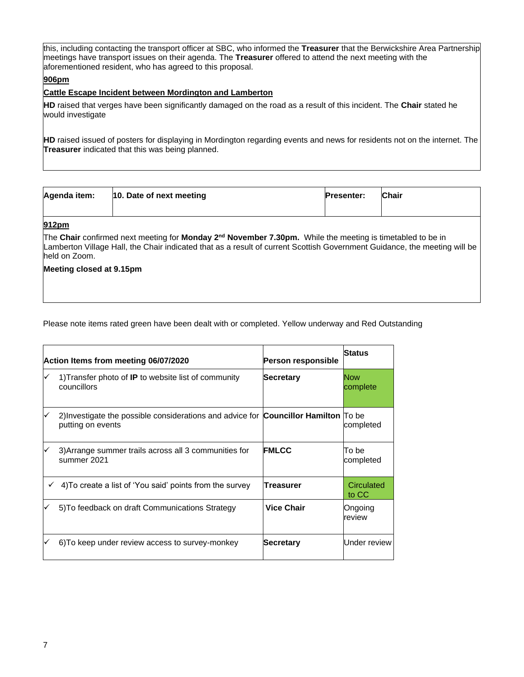this, including contacting the transport officer at SBC, who informed the **Treasurer** that the Berwickshire Area Partnership meetings have transport issues on their agenda. The **Treasurer** offered to attend the next meeting with the aforementioned resident, who has agreed to this proposal.

# **906pm**

#### **Cattle Escape Incident between Mordington and Lamberton**

**HD** raised that verges have been significantly damaged on the road as a result of this incident. The **Chair** stated he would investigate

**HD** raised issued of posters for displaying in Mordington regarding events and news for residents not on the internet. The **Treasurer** indicated that this was being planned.

| Agenda item: | 10. Date of next meeting | <b>Presenter:</b> | <b>Chair</b> |
|--------------|--------------------------|-------------------|--------------|
| 912pm        |                          |                   |              |

The **Chair** confirmed next meeting for **Monday 2nd November 7.30pm.** While the meeting is timetabled to be in Lamberton Village Hall, the Chair indicated that as a result of current Scottish Government Guidance, the meeting will be held on Zoom.

#### **Meeting closed at 9.15pm**

Please note items rated green have been dealt with or completed. Yellow underway and Red Outstanding

|   | Action Items from meeting 06/07/2020                                                                            | Person responsible | <b>Status</b>          |
|---|-----------------------------------------------------------------------------------------------------------------|--------------------|------------------------|
| ✓ | 1) Transfer photo of <b>IP</b> to website list of community<br>councillors                                      | <b>Secretary</b>   | <b>Now</b><br>complete |
| ✓ | 2) Investigate the possible considerations and advice for <b>Councillor Hamilton</b> To be<br>putting on events |                    | completed              |
| ✓ | 3) Arrange summer trails across all 3 communities for<br>summer 2021                                            | <b>FMLCC</b>       | To be<br>completed     |
| ✓ | 4) To create a list of 'You said' points from the survey                                                        | <b>Treasurer</b>   | Circulated<br>to CC    |
| ✓ | 5) To feedback on draft Communications Strategy                                                                 | <b>Vice Chair</b>  | Ongoing<br>review      |
|   | 6) To keep under review access to survey-monkey                                                                 | <b>Secretary</b>   | Under review           |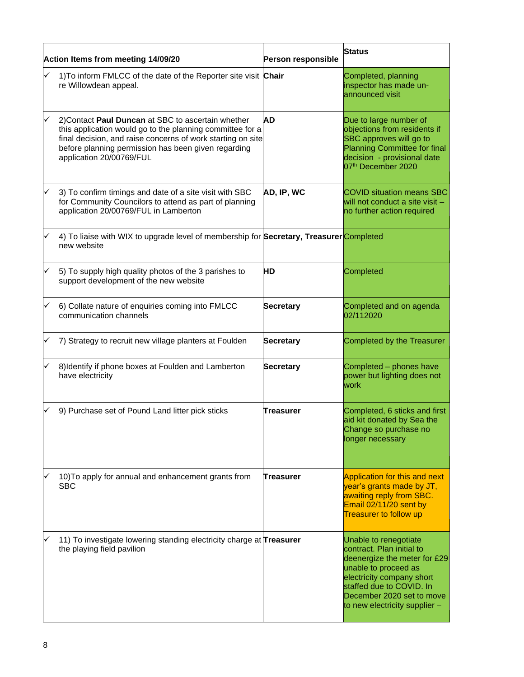| Action Items from meeting 14/09/20 |                                                                                                                                                                                                                                                                   | Person responsible | <b>Status</b>                                                                                                                                                                                                                     |
|------------------------------------|-------------------------------------------------------------------------------------------------------------------------------------------------------------------------------------------------------------------------------------------------------------------|--------------------|-----------------------------------------------------------------------------------------------------------------------------------------------------------------------------------------------------------------------------------|
|                                    | 1) To inform FMLCC of the date of the Reporter site visit Chair<br>re Willowdean appeal.                                                                                                                                                                          |                    | Completed, planning<br>inspector has made un-<br>announced visit                                                                                                                                                                  |
|                                    | 2) Contact Paul Duncan at SBC to ascertain whether<br>this application would go to the planning committee for a<br>final decision, and raise concerns of work starting on site<br>before planning permission has been given regarding<br>application 20/00769/FUL | AD                 | Due to large number of<br>objections from residents if<br>SBC approves will go to<br><b>Planning Committee for final</b><br>decision - provisional date<br>07 <sup>th</sup> December 2020                                         |
|                                    | 3) To confirm timings and date of a site visit with SBC<br>for Community Councilors to attend as part of planning<br>application 20/00769/FUL in Lamberton                                                                                                        | AD, IP, WC         | <b>COVID situation means SBC</b><br>will not conduct a site visit -<br>no further action required                                                                                                                                 |
| ✓                                  | 4) To liaise with WIX to upgrade level of membership for Secretary, Treasurer Completed<br>new website                                                                                                                                                            |                    |                                                                                                                                                                                                                                   |
| ✓                                  | 5) To supply high quality photos of the 3 parishes to<br>support development of the new website                                                                                                                                                                   | HD                 | Completed                                                                                                                                                                                                                         |
|                                    | 6) Collate nature of enquiries coming into FMLCC<br>communication channels                                                                                                                                                                                        | <b>Secretary</b>   | Completed and on agenda<br>02/112020                                                                                                                                                                                              |
|                                    | 7) Strategy to recruit new village planters at Foulden                                                                                                                                                                                                            | <b>Secretary</b>   | Completed by the Treasurer                                                                                                                                                                                                        |
|                                    | 8) Identify if phone boxes at Foulden and Lamberton<br>have electricity                                                                                                                                                                                           | <b>Secretary</b>   | Completed - phones have<br>power but lighting does not<br>work                                                                                                                                                                    |
|                                    | 9) Purchase set of Pound Land litter pick sticks                                                                                                                                                                                                                  | Treasurer          | Completed, 6 sticks and first<br>aid kit donated by Sea the<br>Change so purchase no<br>longer necessary                                                                                                                          |
|                                    | 10) To apply for annual and enhancement grants from<br><b>SBC</b>                                                                                                                                                                                                 | Treasurer          | Application for this and next<br>year's grants made by JT,<br>awaiting reply from SBC.<br>Email 02/11/20 sent by<br><b>Treasurer to follow up</b>                                                                                 |
|                                    | 11) To investigate lowering standing electricity charge at Treasurer<br>the playing field pavilion                                                                                                                                                                |                    | Unable to renegotiate<br>contract. Plan initial to<br>deenergize the meter for £29<br>unable to proceed as<br>electricity company short<br>staffed due to COVID. In<br>December 2020 set to move<br>to new electricity supplier - |